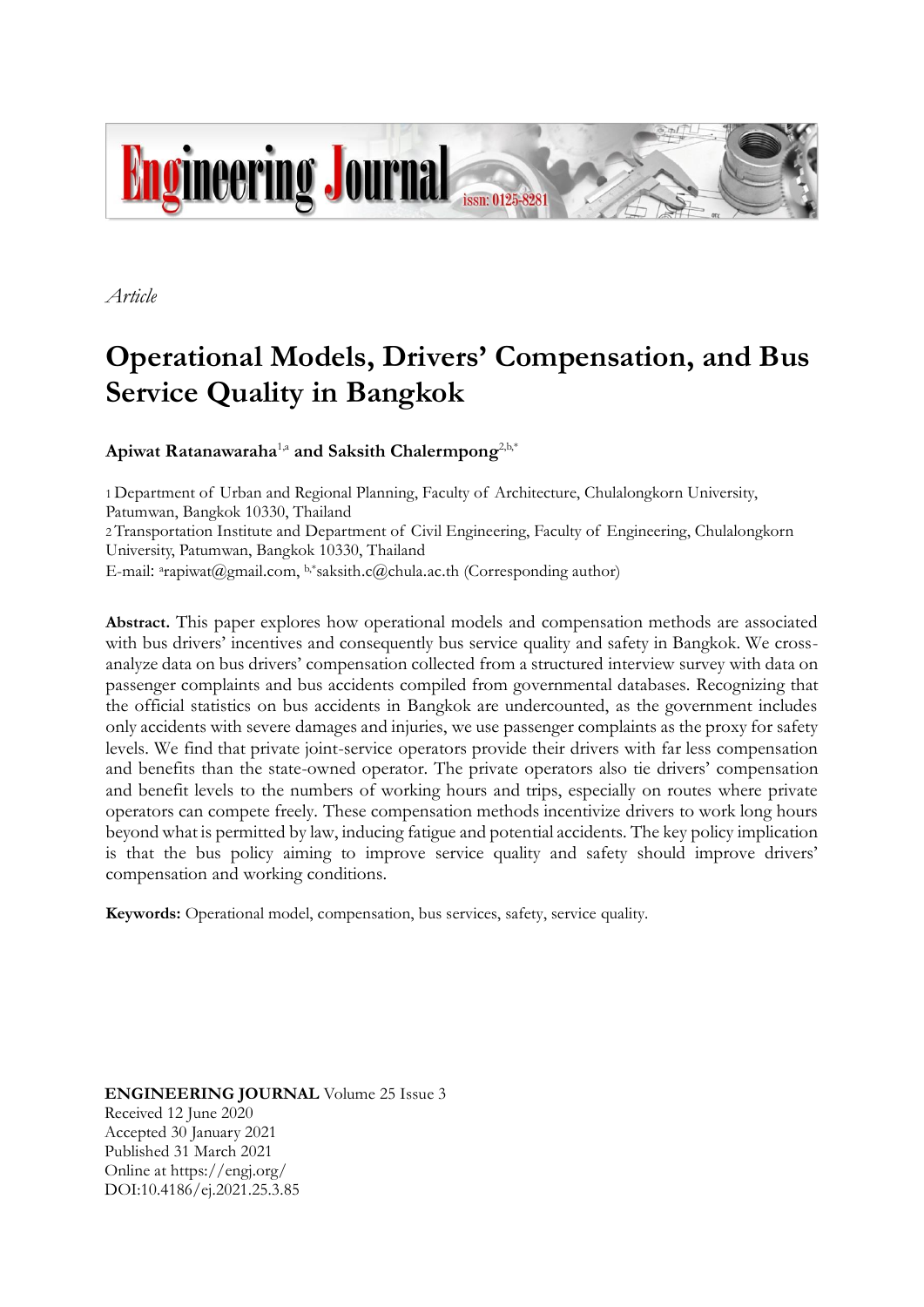

*Article*

# **Operational Models, Drivers' Compensation, and Bus Service Quality in Bangkok**

# **Apiwat Ratanawaraha**1,a **and Saksith Chalermpong**2,b,\*

1 Department of Urban and Regional Planning, Faculty of Architecture, Chulalongkorn University, Patumwan, Bangkok 10330, Thailand 2 Transportation Institute and Department of Civil Engineering, Faculty of Engineering, Chulalongkorn University, Patumwan, Bangkok 10330, Thailand E-mail: <sup>a</sup>rapiwat@gmail.com, b,\*saksith.c@chula.ac.th (Corresponding author)

**Abstract.** This paper explores how operational models and compensation methods are associated with bus drivers' incentives and consequently bus service quality and safety in Bangkok. We crossanalyze data on bus drivers' compensation collected from a structured interview survey with data on passenger complaints and bus accidents compiled from governmental databases. Recognizing that the official statistics on bus accidents in Bangkok are undercounted, as the government includes only accidents with severe damages and injuries, we use passenger complaints as the proxy for safety levels. We find that private joint-service operators provide their drivers with far less compensation and benefits than the state-owned operator. The private operators also tie drivers' compensation and benefit levels to the numbers of working hours and trips, especially on routes where private operators can compete freely. These compensation methods incentivize drivers to work long hours beyond what is permitted by law, inducing fatigue and potential accidents. The key policy implication is that the bus policy aiming to improve service quality and safety should improve drivers' compensation and working conditions.

**Keywords:** Operational model, compensation, bus services, safety, service quality.

**ENGINEERING JOURNAL** Volume 25 Issue 3 Received 12 June 2020 Accepted 30 January 2021 Published 31 March 2021 Online at https://engj.org/ DOI:10.4186/ej.2021.25.3.85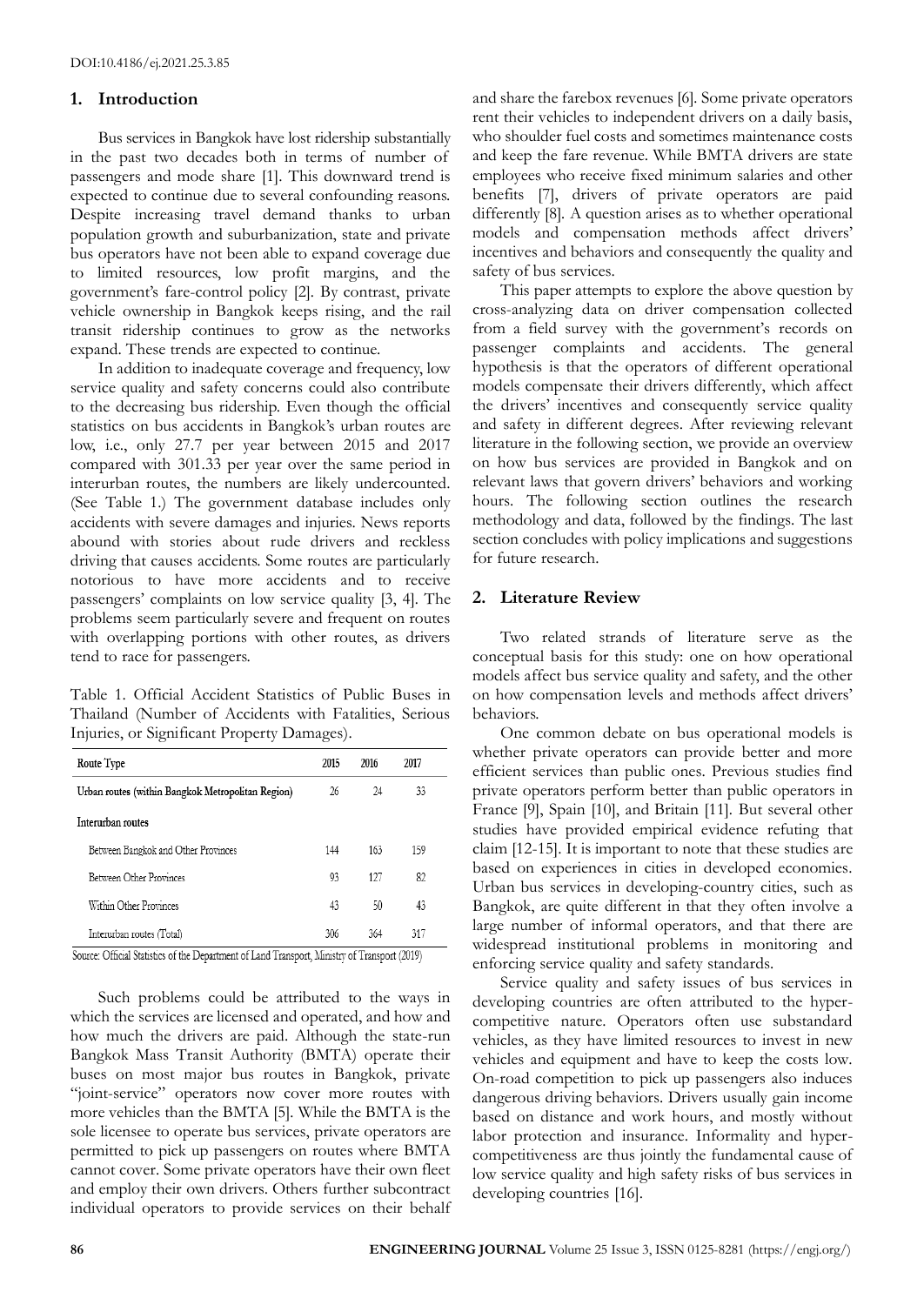## **1. Introduction**

Bus services in Bangkok have lost ridership substantially in the past two decades both in terms of number of passengers and mode share [1]. This downward trend is expected to continue due to several confounding reasons. Despite increasing travel demand thanks to urban population growth and suburbanization, state and private bus operators have not been able to expand coverage due to limited resources, low profit margins, and the government's fare-control policy [2]*.* By contrast, private vehicle ownership in Bangkok keeps rising, and the rail transit ridership continues to grow as the networks expand. These trends are expected to continue.

In addition to inadequate coverage and frequency, low service quality and safety concerns could also contribute to the decreasing bus ridership. Even though the official statistics on bus accidents in Bangkok's urban routes are low, i.e., only 27.7 per year between 2015 and 2017 compared with 301.33 per year over the same period in interurban routes, the numbers are likely undercounted. (See Table 1.) The government database includes only accidents with severe damages and injuries. News reports abound with stories about rude drivers and reckless driving that causes accidents. Some routes are particularly notorious to have more accidents and to receive passengers' complaints on low service quality [3, 4]*.* The problems seem particularly severe and frequent on routes with overlapping portions with other routes, as drivers tend to race for passengers.

Table 1. Official Accident Statistics of Public Buses in Thailand (Number of Accidents with Fatalities, Serious Injuries, or Significant Property Damages).

| Route Type                                        | 2015 | 2016 | 2017 |  |
|---------------------------------------------------|------|------|------|--|
| Urban routes (within Bangkok Metropolitan Region) | 26   | 24   | 33   |  |
| Interurban routes                                 |      |      |      |  |
| Between Bangkok and Other Provinces               | 144  | 163  | 159  |  |
| Between Other Provinces                           | 93   | 127  | 82   |  |
| Within Other Provinces                            | 43   | 50   | 43   |  |
| Interurban routes (Total)                         | 306  | 364  | 317  |  |

Source: Official Statistics of the Department of Land Transport, Ministry of Transport (2019)

Such problems could be attributed to the ways in which the services are licensed and operated, and how and how much the drivers are paid. Although the state-run Bangkok Mass Transit Authority (BMTA) operate their buses on most major bus routes in Bangkok, private "joint-service" operators now cover more routes with more vehicles than the BMTA [5]*.* While the BMTA is the sole licensee to operate bus services, private operators are permitted to pick up passengers on routes where BMTA cannot cover. Some private operators have their own fleet and employ their own drivers. Others further subcontract individual operators to provide services on their behalf and share the farebox revenues [6]*.* Some private operators rent their vehicles to independent drivers on a daily basis, who shoulder fuel costs and sometimes maintenance costs and keep the fare revenue. While BMTA drivers are state employees who receive fixed minimum salaries and other benefits [7], drivers of private operators are paid differently [8]*.* A question arises as to whether operational models and compensation methods affect drivers' incentives and behaviors and consequently the quality and safety of bus services.

This paper attempts to explore the above question by cross-analyzing data on driver compensation collected from a field survey with the government's records on passenger complaints and accidents. The general hypothesis is that the operators of different operational models compensate their drivers differently, which affect the drivers' incentives and consequently service quality and safety in different degrees. After reviewing relevant literature in the following section, we provide an overview on how bus services are provided in Bangkok and on relevant laws that govern drivers' behaviors and working hours. The following section outlines the research methodology and data, followed by the findings. The last section concludes with policy implications and suggestions for future research.

# **2. Literature Review**

Two related strands of literature serve as the conceptual basis for this study: one on how operational models affect bus service quality and safety, and the other on how compensation levels and methods affect drivers' behaviors.

One common debate on bus operational models is whether private operators can provide better and more efficient services than public ones. Previous studies find private operators perform better than public operators in France [9], Spain [10], and Britain [11]*.* But several other studies have provided empirical evidence refuting that claim [12-15]. It is important to note that these studies are based on experiences in cities in developed economies. Urban bus services in developing-country cities, such as Bangkok, are quite different in that they often involve a large number of informal operators, and that there are widespread institutional problems in monitoring and enforcing service quality and safety standards.

Service quality and safety issues of bus services in developing countries are often attributed to the hypercompetitive nature. Operators often use substandard vehicles, as they have limited resources to invest in new vehicles and equipment and have to keep the costs low. On-road competition to pick up passengers also induces dangerous driving behaviors. Drivers usually gain income based on distance and work hours, and mostly without labor protection and insurance. Informality and hypercompetitiveness are thus jointly the fundamental cause of low service quality and high safety risks of bus services in developing countries [16].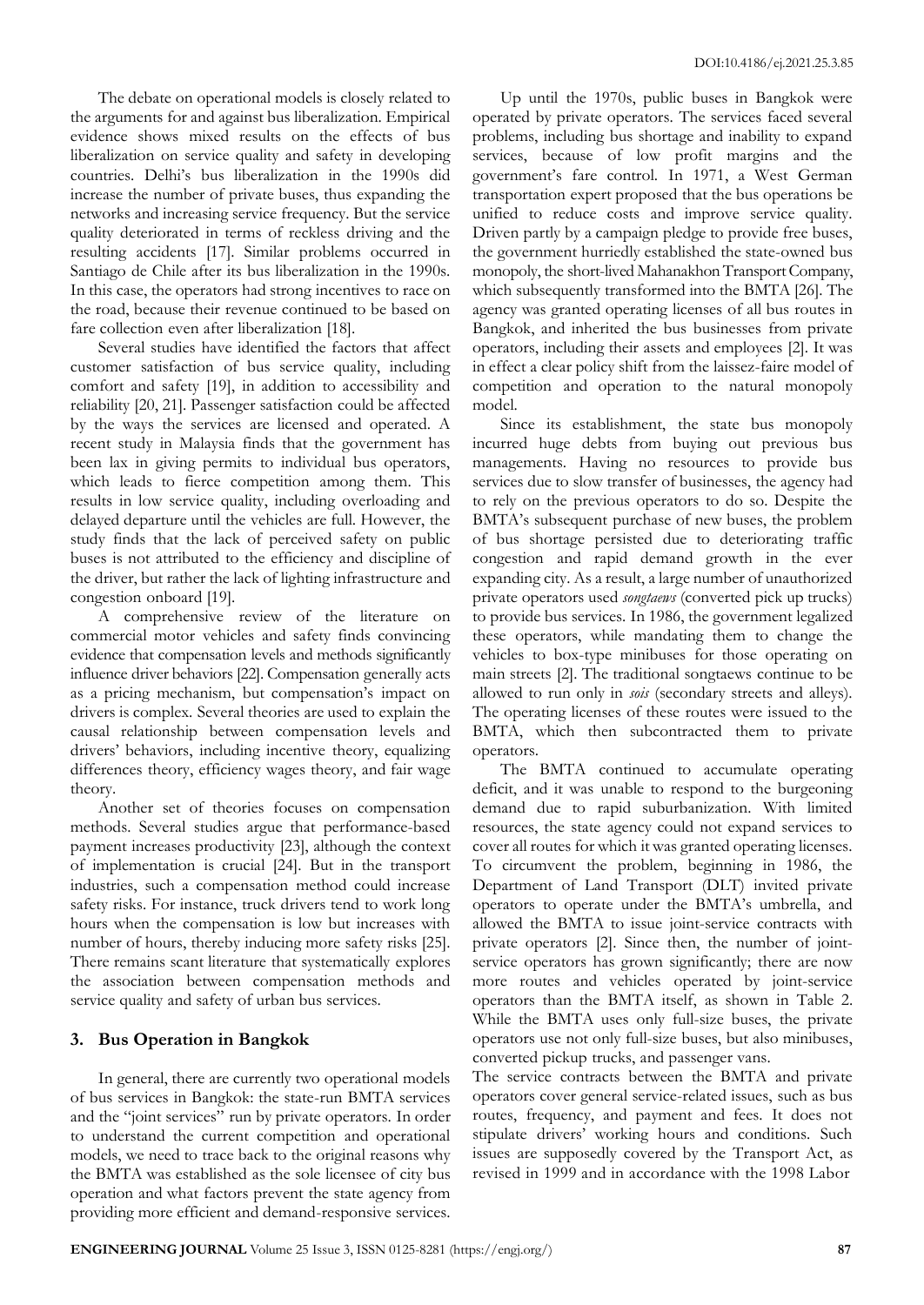The debate on operational models is closely related to the arguments for and against bus liberalization. Empirical evidence shows mixed results on the effects of bus liberalization on service quality and safety in developing countries. Delhi's bus liberalization in the 1990s did increase the number of private buses, thus expanding the networks and increasing service frequency. But the service quality deteriorated in terms of reckless driving and the resulting accidents [17]. Similar problems occurred in Santiago de Chile after its bus liberalization in the 1990s. In this case, the operators had strong incentives to race on the road, because their revenue continued to be based on fare collection even after liberalization [18].

Several studies have identified the factors that affect customer satisfaction of bus service quality, including comfort and safety [19], in addition to accessibility and reliability [20, 21]. Passenger satisfaction could be affected by the ways the services are licensed and operated. A recent study in Malaysia finds that the government has been lax in giving permits to individual bus operators, which leads to fierce competition among them. This results in low service quality, including overloading and delayed departure until the vehicles are full. However, the study finds that the lack of perceived safety on public buses is not attributed to the efficiency and discipline of the driver, but rather the lack of lighting infrastructure and congestion onboard [19].

A comprehensive review of the literature on commercial motor vehicles and safety finds convincing evidence that compensation levels and methods significantly influence driver behaviors [22]. Compensation generally acts as a pricing mechanism, but compensation's impact on drivers is complex. Several theories are used to explain the causal relationship between compensation levels and drivers' behaviors, including incentive theory, equalizing differences theory, efficiency wages theory, and fair wage theory.

Another set of theories focuses on compensation methods. Several studies argue that performance-based payment increases productivity [23], although the context of implementation is crucial [24]. But in the transport industries, such a compensation method could increase safety risks. For instance, truck drivers tend to work long hours when the compensation is low but increases with number of hours, thereby inducing more safety risks [25]. There remains scant literature that systematically explores the association between compensation methods and service quality and safety of urban bus services.

# **3. Bus Operation in Bangkok**

In general, there are currently two operational models of bus services in Bangkok: the state-run BMTA services and the "joint services" run by private operators. In order to understand the current competition and operational models, we need to trace back to the original reasons why the BMTA was established as the sole licensee of city bus operation and what factors prevent the state agency from providing more efficient and demand-responsive services.

Up until the 1970s, public buses in Bangkok were operated by private operators. The services faced several problems, including bus shortage and inability to expand services, because of low profit margins and the government's fare control. In 1971, a West German transportation expert proposed that the bus operations be unified to reduce costs and improve service quality. Driven partly by a campaign pledge to provide free buses, the government hurriedly established the state-owned bus monopoly, the short-lived Mahanakhon Transport Company, which subsequently transformed into the BMTA [26]. The agency was granted operating licenses of all bus routes in Bangkok, and inherited the bus businesses from private operators, including their assets and employees [2]. It was in effect a clear policy shift from the laissez-faire model of competition and operation to the natural monopoly model.

Since its establishment, the state bus monopoly incurred huge debts from buying out previous bus managements. Having no resources to provide bus services due to slow transfer of businesses, the agency had to rely on the previous operators to do so. Despite the BMTA's subsequent purchase of new buses, the problem of bus shortage persisted due to deteriorating traffic congestion and rapid demand growth in the ever expanding city. As a result, a large number of unauthorized private operators used *songtaews* (converted pick up trucks) to provide bus services. In 1986, the government legalized these operators, while mandating them to change the vehicles to box-type minibuses for those operating on main streets [2]. The traditional songtaews continue to be allowed to run only in *sois* (secondary streets and alleys). The operating licenses of these routes were issued to the BMTA, which then subcontracted them to private operators.

The BMTA continued to accumulate operating deficit, and it was unable to respond to the burgeoning demand due to rapid suburbanization. With limited resources, the state agency could not expand services to cover all routes for which it was granted operating licenses. To circumvent the problem, beginning in 1986, the Department of Land Transport (DLT) invited private operators to operate under the BMTA's umbrella, and allowed the BMTA to issue joint-service contracts with private operators [2]. Since then, the number of jointservice operators has grown significantly; there are now more routes and vehicles operated by joint-service operators than the BMTA itself, as shown in Table 2. While the BMTA uses only full-size buses, the private operators use not only full-size buses, but also minibuses, converted pickup trucks, and passenger vans.

The service contracts between the BMTA and private operators cover general service-related issues, such as bus routes, frequency, and payment and fees. It does not stipulate drivers' working hours and conditions. Such issues are supposedly covered by the Transport Act, as revised in 1999 and in accordance with the 1998 Labor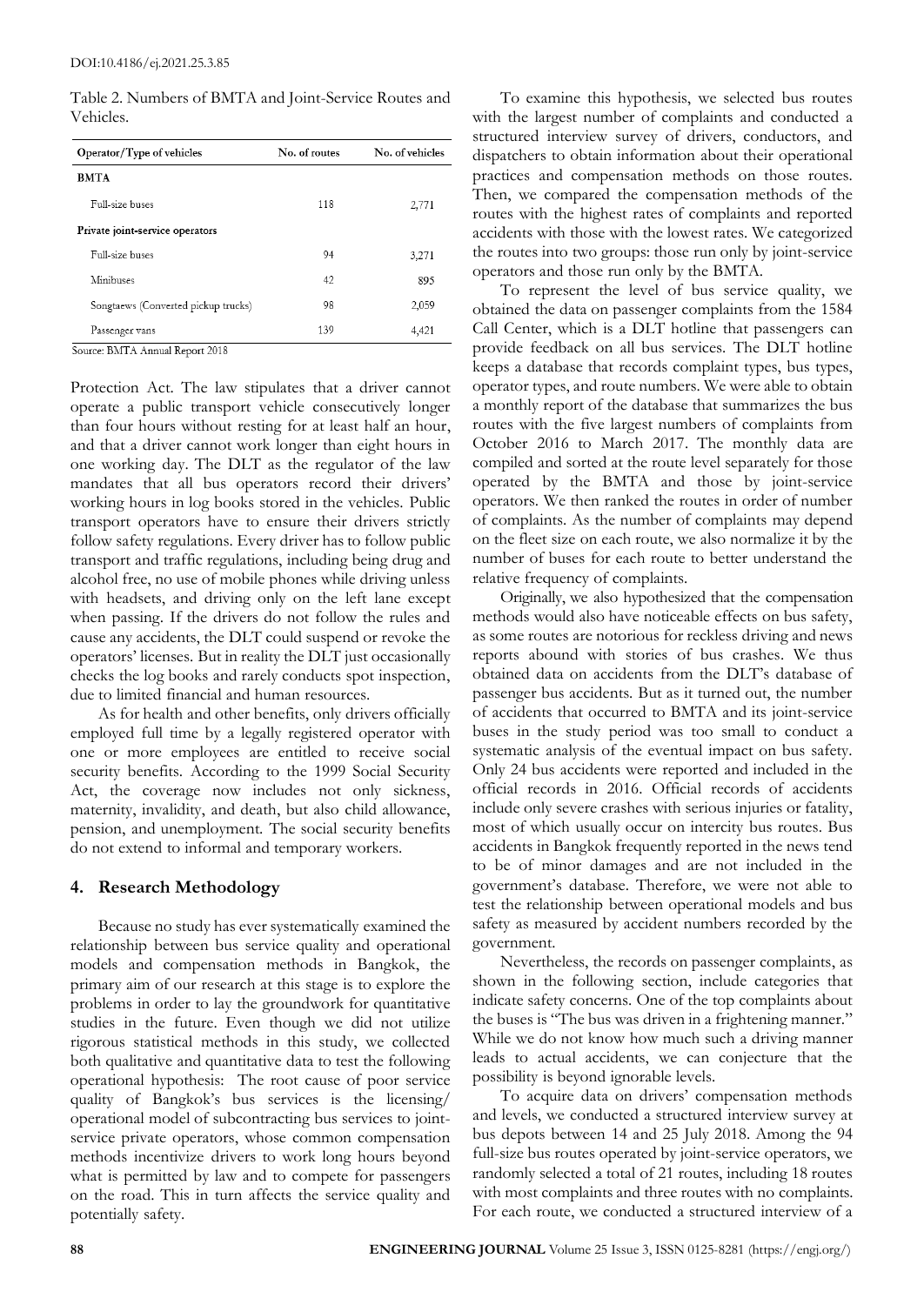Table 2. Numbers of BMTA and Joint-Service Routes and Vehicles.

| Operator/Type of vehicles           | No. of routes | No. of vehicles |
|-------------------------------------|---------------|-----------------|
| <b>BMTA</b>                         |               |                 |
| Full-size buses                     | 118           | 2,771           |
| Private joint-service operators     |               |                 |
| Full-size buses                     | 94            | 3,271           |
| Minibuses                           | 42            | 895             |
| Songtaews (Converted pickup trucks) | 98            | 2,059           |
| Passenger vans                      | 139           | 4,421           |

Source: BMTA Annual Report 2018

Protection Act. The law stipulates that a driver cannot operate a public transport vehicle consecutively longer than four hours without resting for at least half an hour, and that a driver cannot work longer than eight hours in one working day. The DLT as the regulator of the law mandates that all bus operators record their drivers' working hours in log books stored in the vehicles. Public transport operators have to ensure their drivers strictly follow safety regulations. Every driver has to follow public transport and traffic regulations, including being drug and alcohol free, no use of mobile phones while driving unless with headsets, and driving only on the left lane except when passing. If the drivers do not follow the rules and cause any accidents, the DLT could suspend or revoke the operators' licenses. But in reality the DLT just occasionally checks the log books and rarely conducts spot inspection, due to limited financial and human resources.

As for health and other benefits, only drivers officially employed full time by a legally registered operator with one or more employees are entitled to receive social security benefits. According to the 1999 Social Security Act, the coverage now includes not only sickness, maternity, invalidity, and death, but also child allowance, pension, and unemployment. The social security benefits do not extend to informal and temporary workers.

## **4. Research Methodology**

Because no study has ever systematically examined the relationship between bus service quality and operational models and compensation methods in Bangkok, the primary aim of our research at this stage is to explore the problems in order to lay the groundwork for quantitative studies in the future. Even though we did not utilize rigorous statistical methods in this study, we collected both qualitative and quantitative data to test the following operational hypothesis: The root cause of poor service quality of Bangkok's bus services is the licensing/ operational model of subcontracting bus services to jointservice private operators, whose common compensation methods incentivize drivers to work long hours beyond what is permitted by law and to compete for passengers on the road. This in turn affects the service quality and potentially safety.

To examine this hypothesis, we selected bus routes with the largest number of complaints and conducted a structured interview survey of drivers, conductors, and dispatchers to obtain information about their operational practices and compensation methods on those routes. Then, we compared the compensation methods of the routes with the highest rates of complaints and reported accidents with those with the lowest rates. We categorized the routes into two groups: those run only by joint-service operators and those run only by the BMTA.

To represent the level of bus service quality, we obtained the data on passenger complaints from the 1584 Call Center, which is a DLT hotline that passengers can provide feedback on all bus services. The DLT hotline keeps a database that records complaint types, bus types, operator types, and route numbers. We were able to obtain a monthly report of the database that summarizes the bus routes with the five largest numbers of complaints from October 2016 to March 2017. The monthly data are compiled and sorted at the route level separately for those operated by the BMTA and those by joint-service operators. We then ranked the routes in order of number of complaints. As the number of complaints may depend on the fleet size on each route, we also normalize it by the number of buses for each route to better understand the relative frequency of complaints.

Originally, we also hypothesized that the compensation methods would also have noticeable effects on bus safety, as some routes are notorious for reckless driving and news reports abound with stories of bus crashes. We thus obtained data on accidents from the DLT's database of passenger bus accidents. But as it turned out, the number of accidents that occurred to BMTA and its joint-service buses in the study period was too small to conduct a systematic analysis of the eventual impact on bus safety. Only 24 bus accidents were reported and included in the official records in 2016. Official records of accidents include only severe crashes with serious injuries or fatality, most of which usually occur on intercity bus routes. Bus accidents in Bangkok frequently reported in the news tend to be of minor damages and are not included in the government's database. Therefore, we were not able to test the relationship between operational models and bus safety as measured by accident numbers recorded by the government.

Nevertheless, the records on passenger complaints, as shown in the following section, include categories that indicate safety concerns. One of the top complaints about the buses is "The bus was driven in a frightening manner." While we do not know how much such a driving manner leads to actual accidents, we can conjecture that the possibility is beyond ignorable levels.

To acquire data on drivers' compensation methods and levels, we conducted a structured interview survey at bus depots between 14 and 25 July 2018. Among the 94 full-size bus routes operated by joint-service operators, we randomly selected a total of 21 routes, including 18 routes with most complaints and three routes with no complaints. For each route, we conducted a structured interview of a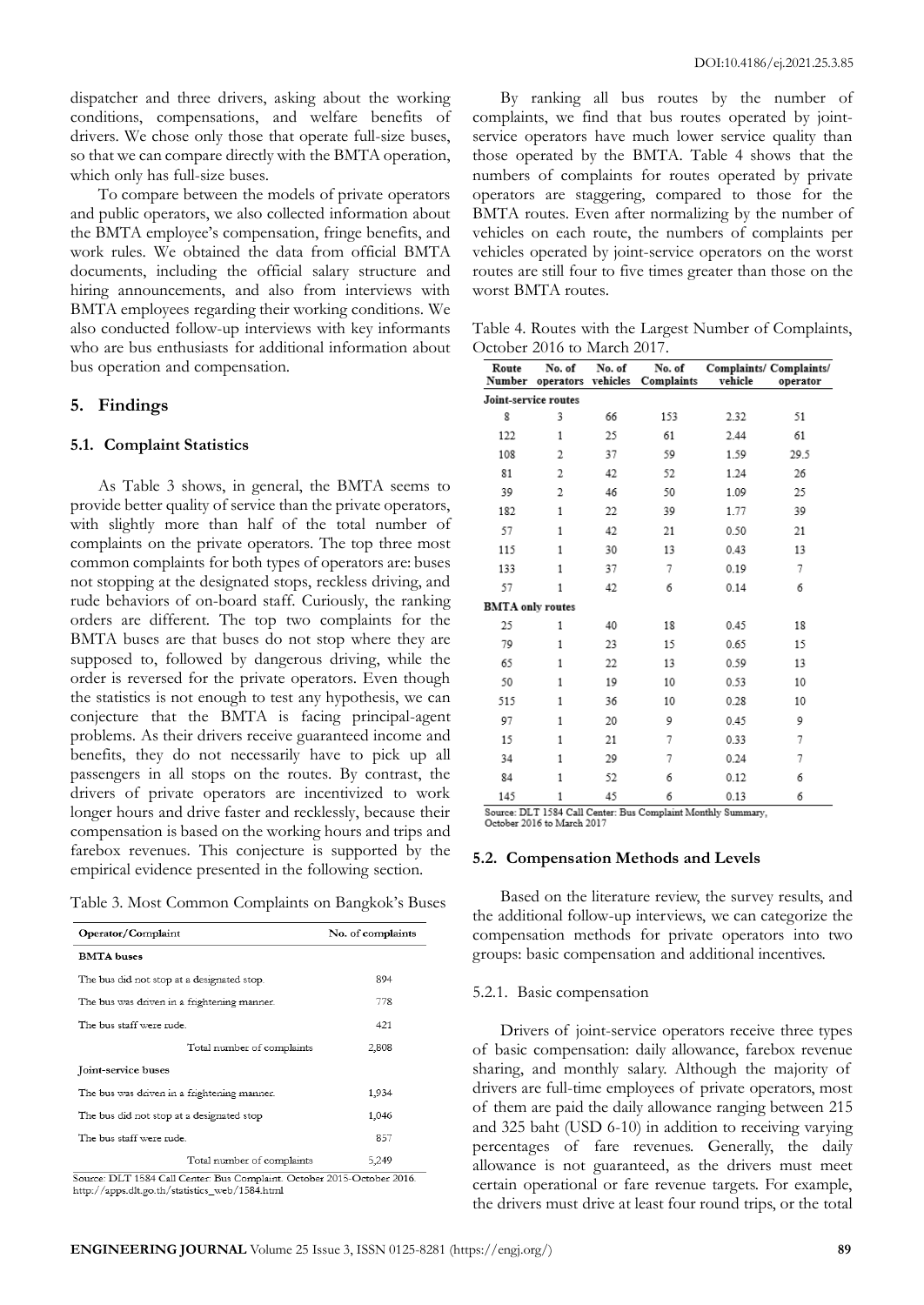dispatcher and three drivers, asking about the working conditions, compensations, and welfare benefits of drivers. We chose only those that operate full-size buses, so that we can compare directly with the BMTA operation, which only has full-size buses.

To compare between the models of private operators and public operators, we also collected information about the BMTA employee's compensation, fringe benefits, and work rules. We obtained the data from official BMTA documents, including the official salary structure and hiring announcements, and also from interviews with BMTA employees regarding their working conditions. We also conducted follow-up interviews with key informants who are bus enthusiasts for additional information about bus operation and compensation.

## **5. Findings**

#### **5.1. Complaint Statistics**

As Table 3 shows, in general, the BMTA seems to provide better quality of service than the private operators, with slightly more than half of the total number of complaints on the private operators. The top three most common complaints for both types of operators are: buses not stopping at the designated stops, reckless driving, and rude behaviors of on-board staff. Curiously, the ranking orders are different. The top two complaints for the BMTA buses are that buses do not stop where they are supposed to, followed by dangerous driving, while the order is reversed for the private operators. Even though the statistics is not enough to test any hypothesis, we can conjecture that the BMTA is facing principal-agent problems. As their drivers receive guaranteed income and benefits, they do not necessarily have to pick up all passengers in all stops on the routes. By contrast, the drivers of private operators are incentivized to work longer hours and drive faster and recklessly, because their compensation is based on the working hours and trips and farebox revenues. This conjecture is supported by the empirical evidence presented in the following section.

Table 3. Most Common Complaints on Bangkok's Buses

| Operator/Complaint                          | No. of complaints |
|---------------------------------------------|-------------------|
| <b>BMTA</b> buses                           |                   |
| The bus did not stop at a designated stop.  | 894               |
| The bus was driven in a frightening manner. | 778               |
| The bus staff were rude.                    | 421               |
| Total number of complaints                  | 2,808             |
| Joint-service buses                         |                   |
| The bus was driven in a frightening manner. | 1,934             |
| The bus did not stop at a designated stop   | 1,046             |
| The bus staff were rude.                    | 857               |
| Total number of complaints                  | 5,249             |

http://apps.dlt.go.th/statistics\_web/1584.html

By ranking all bus routes by the number of complaints, we find that bus routes operated by jointservice operators have much lower service quality than those operated by the BMTA. Table 4 shows that the numbers of complaints for routes operated by private operators are staggering, compared to those for the BMTA routes. Even after normalizing by the number of vehicles on each route, the numbers of complaints per vehicles operated by joint-service operators on the worst routes are still four to five times greater than those on the worst BMTA routes.

Table 4. Routes with the Largest Number of Complaints, October 2016 to March 2017.

| Route<br>Number                                                                            | No. of<br>operators vehicles | No. of | No. of<br>Complaints | vehicle | Complaints/ Complaints/<br>operator |
|--------------------------------------------------------------------------------------------|------------------------------|--------|----------------------|---------|-------------------------------------|
| Joint-service routes                                                                       |                              |        |                      |         |                                     |
| 8                                                                                          | 3                            | 66     | 153                  | 2.32    | 51                                  |
| 122                                                                                        | 1                            | 25     | 61                   | 2.44    | 61                                  |
| 108                                                                                        | 2                            | 37     | 59                   | 1.59    | 29.5                                |
| 81                                                                                         | 2                            | 42     | 52                   | 1.24    | 26                                  |
| 39                                                                                         | 2                            | 46     | 50                   | 1.09    | 25                                  |
| 182                                                                                        | $\mathbf{1}$                 | 22     | 39                   | 1.77    | 39                                  |
| 57                                                                                         | $\mathbf{1}$                 | 42     | 21                   | 0.50    | 21                                  |
| 115                                                                                        | 1                            | 30     | 13                   | 0.43    | 13                                  |
| 133                                                                                        | $\mathbf{1}$                 | 37     | 7                    | 0.19    | 7                                   |
| 57                                                                                         | 1                            | 42     | 6                    | 0.14    | 6                                   |
| <b>BMTA</b> only routes                                                                    |                              |        |                      |         |                                     |
| 25                                                                                         | 1                            | 40     | 18                   | 0.45    | 18                                  |
| 79                                                                                         | 1                            | 23     | 15                   | 0.65    | 15                                  |
| 65                                                                                         | 1                            | 22     | 13                   | 0.59    | 13                                  |
| 50                                                                                         | 1                            | 19     | 10                   | 0.53    | 10                                  |
| 515                                                                                        | $\mathbf{1}$                 | 36     | 10                   | 0.28    | 10                                  |
| 97                                                                                         | 1                            | 20     | 9                    | 0.45    | 9                                   |
| 15                                                                                         | 1                            | 21     | 7                    | 0.33    | 7                                   |
| 34                                                                                         | 1                            | 29     | 7                    | 0.24    | 7                                   |
| 84                                                                                         | 1                            | 52     | 6                    | 0.12    | 6                                   |
| 145                                                                                        | 1                            | 45     | 6                    | 0.13    | 6                                   |
| Source: DLT 1584 Call Center: Bus Complaint Monthly Summary,<br>October 2016 to March 2017 |                              |        |                      |         |                                     |

#### **5.2. Compensation Methods and Levels**

Based on the literature review, the survey results, and the additional follow-up interviews, we can categorize the compensation methods for private operators into two groups: basic compensation and additional incentives.

#### 5.2.1. Basic compensation

Drivers of joint-service operators receive three types of basic compensation: daily allowance, farebox revenue sharing, and monthly salary. Although the majority of drivers are full-time employees of private operators, most of them are paid the daily allowance ranging between 215 and 325 baht (USD 6-10) in addition to receiving varying percentages of fare revenues. Generally, the daily allowance is not guaranteed, as the drivers must meet certain operational or fare revenue targets. For example, the drivers must drive at least four round trips, or the total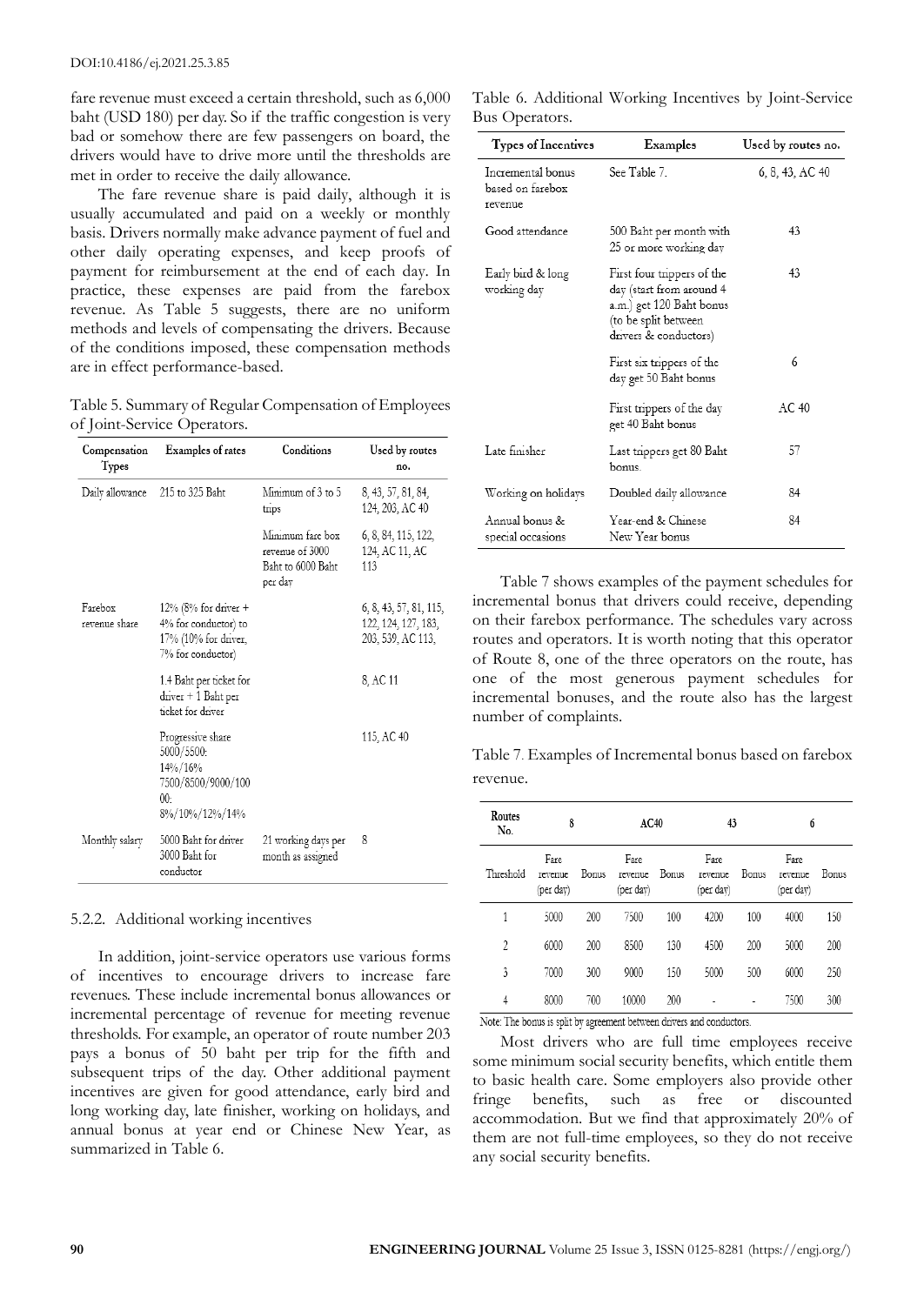fare revenue must exceed a certain threshold, such as 6,000 baht (USD 180) per day. So if the traffic congestion is very bad or somehow there are few passengers on board, the drivers would have to drive more until the thresholds are met in order to receive the daily allowance.

The fare revenue share is paid daily, although it is usually accumulated and paid on a weekly or monthly basis. Drivers normally make advance payment of fuel and other daily operating expenses, and keep proofs of payment for reimbursement at the end of each day. In practice, these expenses are paid from the farebox revenue. As Table 5 suggests, there are no uniform methods and levels of compensating the drivers. Because of the conditions imposed, these compensation methods are in effect performance-based.

Table 5. Summary of Regular Compensation of Employees of Joint-Service Operators.

| Compensation<br><b>Types</b> | Examples of rates                                                                                     | Conditions                                                          | Used by routes<br>no.                                              |
|------------------------------|-------------------------------------------------------------------------------------------------------|---------------------------------------------------------------------|--------------------------------------------------------------------|
| Daily allowance              | 215 to 325 Baht                                                                                       | Minimum of 3 to 5<br>trips                                          | 8, 43, 57, 81, 84,<br>124, 203, AC 40                              |
|                              |                                                                                                       | Minimum fare box<br>revenue of 3000<br>Baht to 6000 Baht<br>per day | 6, 8, 84, 115, 122,<br>124, AC 11, AC<br>113                       |
| Farebox<br>revenue share     | 12% (8% for driver $+$<br>4% for conductor) to<br>17% (10% for driver,<br>7% for conductor)           |                                                                     | 6, 8, 43, 57, 81, 115,<br>122, 124, 127, 183,<br>203, 539, AC 113, |
|                              | 1.4 Baht per ticket for<br>driver + 1 Baht per<br>ticket for driver                                   |                                                                     | 8, AC 11                                                           |
|                              | Progressive share<br>5000/5500:<br>14%/16%<br>7500/8500/9000/100<br>00 <sub>1</sub><br>8%/10%/12%/14% |                                                                     | 115, AC 40                                                         |
| Monthly salary               | 5000 Baht for driver<br>3000 Baht for<br>conductor                                                    | 21 working days per<br>month as assigned                            | 8                                                                  |

5.2.2. Additional working incentives

In addition, joint-service operators use various forms of incentives to encourage drivers to increase fare revenues. These include incremental bonus allowances or incremental percentage of revenue for meeting revenue thresholds. For example, an operator of route number 203 pays a bonus of 50 baht per trip for the fifth and subsequent trips of the day. Other additional payment incentives are given for good attendance, early bird and long working day, late finisher, working on holidays, and annual bonus at year end or Chinese New Year, as summarized in Table 6.

Table 6. Additional Working Incentives by Joint-Service Bus Operators.

| Types of Incentives                              | Examples                                                                                                                            | Used by routes no. |
|--------------------------------------------------|-------------------------------------------------------------------------------------------------------------------------------------|--------------------|
| Incremental bonus<br>based on farebox<br>revenue | See Table 7.                                                                                                                        | 6, 8, 43, AC 40    |
| Good attendance                                  | 500 Baht per month with<br>25 or more working day                                                                                   | 43                 |
| Early bird & long<br>working day                 | First four trippers of the<br>day (start from around 4<br>a.m.) get 120 Baht bonus<br>(to be split between<br>drivers & conductors) | 43                 |
|                                                  | First six trippers of the<br>day get 50 Baht bonus                                                                                  | 6                  |
|                                                  | First trippers of the day<br>get 40 Baht bonus                                                                                      | AC40               |
| Late finisher                                    | Last trippers get 80 Baht<br>honus                                                                                                  | 57                 |
| Working on holidays                              | Doubled daily allowance                                                                                                             | 84                 |
| Annual bonus &<br>special occasions              | Year-end & Chinese<br>New Year bonus                                                                                                | 84                 |

Table 7 shows examples of the payment schedules for incremental bonus that drivers could receive, depending on their farebox performance. The schedules vary across routes and operators. It is worth noting that this operator of Route 8, one of the three operators on the route, has one of the most generous payment schedules for incremental bonuses, and the route also has the largest number of complaints.

Table 7. Examples of Incremental bonus based on farebox revenue.

| Routes<br>No. | 8                            |       | AC40                         |       | 43                           |       | 6                            |       |
|---------------|------------------------------|-------|------------------------------|-------|------------------------------|-------|------------------------------|-------|
| Threshold     | Fare<br>revenue<br>(per dav) | Bonus | Fare<br>revenue<br>(per day) | Bonus | Fare<br>revenue<br>(per dav) | Bonus | Fare<br>revenue<br>(per dav) | Bonus |
| 1             | 5000                         | 200   | 7500                         | 100   | 4200                         | 100   | 4000                         | 150   |
| 2             | 6000                         | 200   | 8500                         | 130   | 4500                         | 200   | 5000                         | 200   |
| 3             | 7000                         | 300   | 9000                         | 150   | 5000                         | 500   | 6000                         | 250   |
| 4             | 8000                         | 700   | 10000                        | 200   |                              |       | 7500                         | 300   |

Note: The bonus is split by agreement between drivers and conductors.

Most drivers who are full time employees receive some minimum social security benefits, which entitle them to basic health care. Some employers also provide other fringe benefits, such as free or discounted accommodation. But we find that approximately 20% of them are not full-time employees, so they do not receive any social security benefits.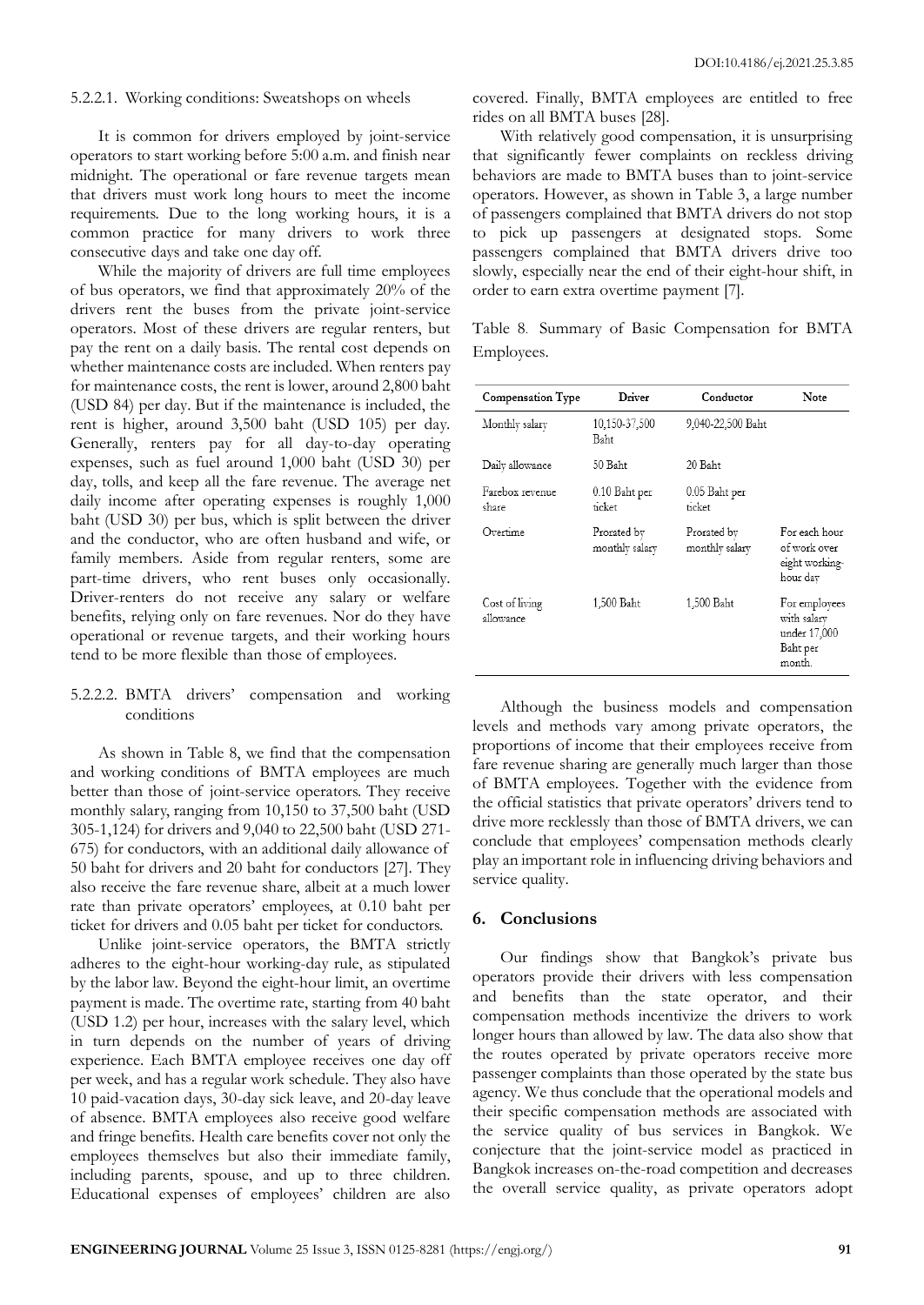## 5.2.2.1. Working conditions: Sweatshops on wheels

It is common for drivers employed by joint-service operators to start working before 5:00 a.m. and finish near midnight. The operational or fare revenue targets mean that drivers must work long hours to meet the income requirements. Due to the long working hours, it is a common practice for many drivers to work three consecutive days and take one day off.

While the majority of drivers are full time employees of bus operators, we find that approximately 20% of the drivers rent the buses from the private joint-service operators. Most of these drivers are regular renters, but pay the rent on a daily basis. The rental cost depends on whether maintenance costs are included. When renters pay for maintenance costs, the rent is lower, around 2,800 baht (USD 84) per day. But if the maintenance is included, the rent is higher, around 3,500 baht (USD 105) per day. Generally, renters pay for all day-to-day operating expenses, such as fuel around 1,000 baht (USD 30) per day, tolls, and keep all the fare revenue. The average net daily income after operating expenses is roughly 1,000 baht (USD 30) per bus, which is split between the driver and the conductor, who are often husband and wife, or family members. Aside from regular renters, some are part-time drivers, who rent buses only occasionally. Driver-renters do not receive any salary or welfare benefits, relying only on fare revenues. Nor do they have operational or revenue targets, and their working hours tend to be more flexible than those of employees.

## 5.2.2.2. BMTA drivers' compensation and working conditions

As shown in Table 8, we find that the compensation and working conditions of BMTA employees are much better than those of joint-service operators. They receive monthly salary, ranging from 10,150 to 37,500 baht (USD 305-1,124) for drivers and 9,040 to 22,500 baht (USD 271- 675) for conductors, with an additional daily allowance of 50 baht for drivers and 20 baht for conductors [27]. They also receive the fare revenue share, albeit at a much lower rate than private operators' employees, at 0.10 baht per ticket for drivers and 0.05 baht per ticket for conductors.

Unlike joint-service operators, the BMTA strictly adheres to the eight-hour working-day rule, as stipulated by the labor law. Beyond the eight-hour limit, an overtime payment is made. The overtime rate, starting from 40 baht (USD 1.2) per hour, increases with the salary level, which in turn depends on the number of years of driving experience. Each BMTA employee receives one day off per week, and has a regular work schedule. They also have 10 paid-vacation days, 30-day sick leave, and 20-day leave of absence. BMTA employees also receive good welfare and fringe benefits. Health care benefits cover not only the employees themselves but also their immediate family, including parents, spouse, and up to three children. Educational expenses of employees' children are also covered. Finally, BMTA employees are entitled to free rides on all BMTA buses [28].

With relatively good compensation, it is unsurprising that significantly fewer complaints on reckless driving behaviors are made to BMTA buses than to joint-service operators. However, as shown in Table 3, a large number of passengers complained that BMTA drivers do not stop to pick up passengers at designated stops. Some passengers complained that BMTA drivers drive too slowly, especially near the end of their eight-hour shift, in order to earn extra overtime payment [7].

Table 8. Summary of Basic Compensation for BMTA Employees.

| Compensation Type           | Driver                        | Conductor                     | <b>Note</b>                                                        |
|-----------------------------|-------------------------------|-------------------------------|--------------------------------------------------------------------|
| Monthly salary              | 10,150-37,500<br>Baht         | 9,040-22,500 Baht             |                                                                    |
| Daily allowance             | 50 Baht                       | 20 Baht                       |                                                                    |
| Farebox revenue<br>share    | 0.10 Baht per<br>ticket       | 0.05 Baht per<br>ticket       |                                                                    |
| Overtime                    | Prorated by<br>monthly salary | Prorated by<br>monthly salary | For each hour<br>of work over<br>eight working-<br>hour day        |
| Cost of living<br>allowance | 1,500 Baht                    | 1,500 Baht                    | For employees<br>with salary<br>under 17,000<br>Baht per<br>month. |

Although the business models and compensation levels and methods vary among private operators, the proportions of income that their employees receive from fare revenue sharing are generally much larger than those of BMTA employees. Together with the evidence from the official statistics that private operators' drivers tend to drive more recklessly than those of BMTA drivers, we can conclude that employees' compensation methods clearly play an important role in influencing driving behaviors and service quality.

## **6. Conclusions**

Our findings show that Bangkok's private bus operators provide their drivers with less compensation and benefits than the state operator, and their compensation methods incentivize the drivers to work longer hours than allowed by law. The data also show that the routes operated by private operators receive more passenger complaints than those operated by the state bus agency. We thus conclude that the operational models and their specific compensation methods are associated with the service quality of bus services in Bangkok. We conjecture that the joint-service model as practiced in Bangkok increases on-the-road competition and decreases the overall service quality, as private operators adopt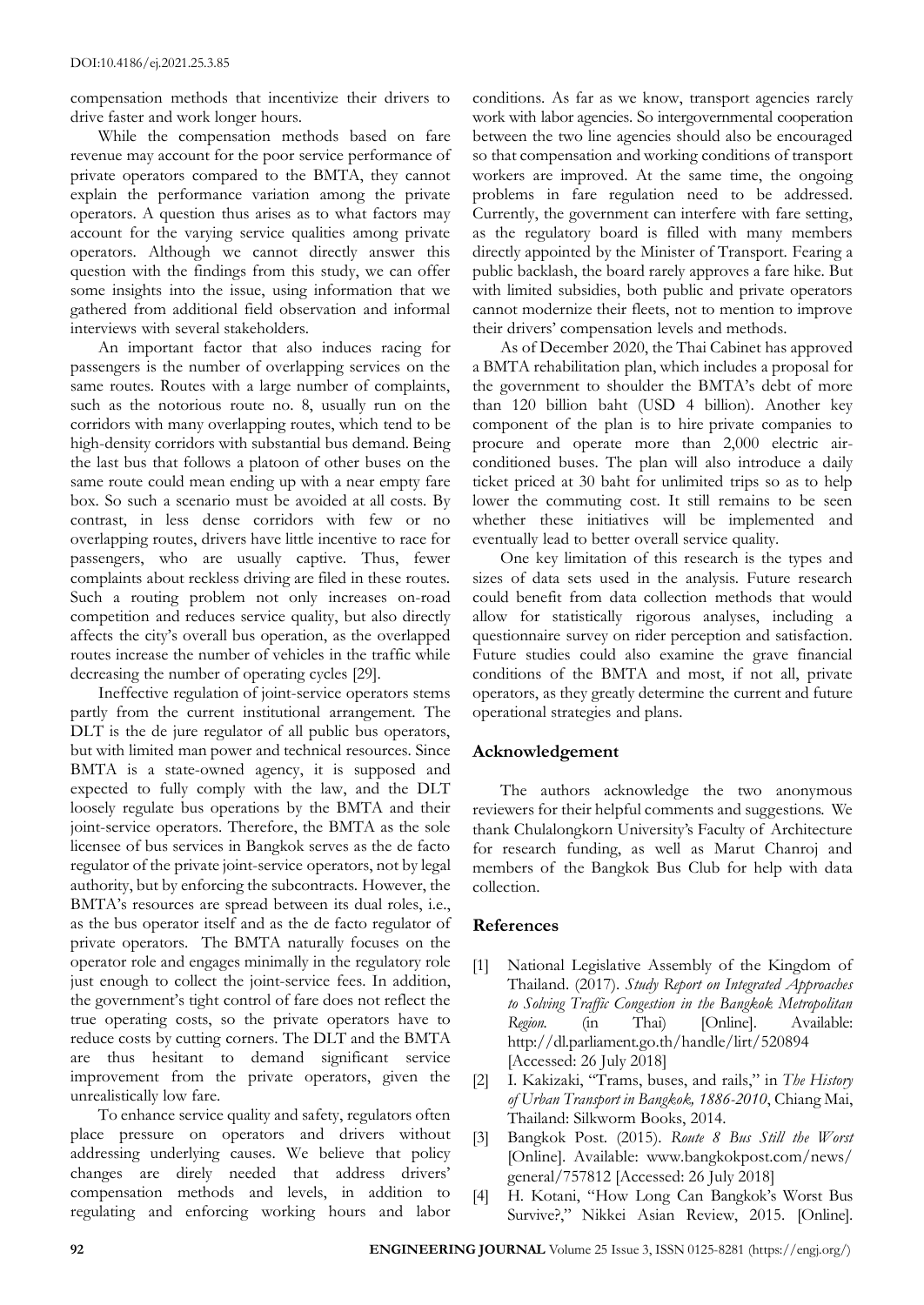compensation methods that incentivize their drivers to drive faster and work longer hours.

While the compensation methods based on fare revenue may account for the poor service performance of private operators compared to the BMTA, they cannot explain the performance variation among the private operators. A question thus arises as to what factors may account for the varying service qualities among private operators. Although we cannot directly answer this question with the findings from this study, we can offer some insights into the issue, using information that we gathered from additional field observation and informal interviews with several stakeholders.

An important factor that also induces racing for passengers is the number of overlapping services on the same routes. Routes with a large number of complaints, such as the notorious route no. 8, usually run on the corridors with many overlapping routes, which tend to be high-density corridors with substantial bus demand. Being the last bus that follows a platoon of other buses on the same route could mean ending up with a near empty fare box. So such a scenario must be avoided at all costs. By contrast, in less dense corridors with few or no overlapping routes, drivers have little incentive to race for passengers, who are usually captive. Thus, fewer complaints about reckless driving are filed in these routes. Such a routing problem not only increases on-road competition and reduces service quality, but also directly affects the city's overall bus operation, as the overlapped routes increase the number of vehicles in the traffic while decreasing the number of operating cycles [29].

Ineffective regulation of joint-service operators stems partly from the current institutional arrangement. The DLT is the de jure regulator of all public bus operators, but with limited man power and technical resources. Since BMTA is a state-owned agency, it is supposed and expected to fully comply with the law, and the DLT loosely regulate bus operations by the BMTA and their joint-service operators. Therefore, the BMTA as the sole licensee of bus services in Bangkok serves as the de facto regulator of the private joint-service operators, not by legal authority, but by enforcing the subcontracts. However, the BMTA's resources are spread between its dual roles, i.e., as the bus operator itself and as the de facto regulator of private operators. The BMTA naturally focuses on the operator role and engages minimally in the regulatory role just enough to collect the joint-service fees. In addition, the government's tight control of fare does not reflect the true operating costs, so the private operators have to reduce costs by cutting corners. The DLT and the BMTA are thus hesitant to demand significant service improvement from the private operators, given the unrealistically low fare.

To enhance service quality and safety, regulators often place pressure on operators and drivers without addressing underlying causes. We believe that policy changes are direly needed that address drivers' compensation methods and levels, in addition to regulating and enforcing working hours and labor

conditions. As far as we know, transport agencies rarely work with labor agencies. So intergovernmental cooperation between the two line agencies should also be encouraged so that compensation and working conditions of transport workers are improved. At the same time, the ongoing problems in fare regulation need to be addressed. Currently, the government can interfere with fare setting, as the regulatory board is filled with many members directly appointed by the Minister of Transport. Fearing a public backlash, the board rarely approves a fare hike. But with limited subsidies, both public and private operators cannot modernize their fleets, not to mention to improve their drivers' compensation levels and methods.

As of December 2020, the Thai Cabinet has approved a BMTA rehabilitation plan, which includes a proposal for the government to shoulder the BMTA's debt of more than 120 billion baht (USD 4 billion). Another key component of the plan is to hire private companies to procure and operate more than 2,000 electric airconditioned buses. The plan will also introduce a daily ticket priced at 30 baht for unlimited trips so as to help lower the commuting cost. It still remains to be seen whether these initiatives will be implemented and eventually lead to better overall service quality.

One key limitation of this research is the types and sizes of data sets used in the analysis. Future research could benefit from data collection methods that would allow for statistically rigorous analyses, including a questionnaire survey on rider perception and satisfaction. Future studies could also examine the grave financial conditions of the BMTA and most, if not all, private operators, as they greatly determine the current and future operational strategies and plans.

# **Acknowledgement**

The authors acknowledge the two anonymous reviewers for their helpful comments and suggestions. We thank Chulalongkorn University's Faculty of Architecture for research funding, as well as Marut Chanroj and members of the Bangkok Bus Club for help with data collection.

# **References**

- [1] National Legislative Assembly of the Kingdom of Thailand. (2017). *Study Report on Integrated Approaches to Solving Traffic Congestion in the Bangkok Metropolitan Region.* (in Thai) [Online]. Available: http://dl.parliament.go.th/handle/lirt/520894 [Accessed: 26 July 2018]
- [2] I. Kakizaki, "Trams, buses, and rails," in *The History of Urban Transport in Bangkok, 1886-2010*, Chiang Mai, Thailand: Silkworm Books, 2014.
- [3] Bangkok Post. (2015). *Route 8 Bus Still the Worst* [Online]. Available: www.bangkokpost.com/news/ general/757812 [Accessed: 26 July 2018]
- [4] H. Kotani, "How Long Can Bangkok's Worst Bus Survive?," Nikkei Asian Review, 2015. [Online].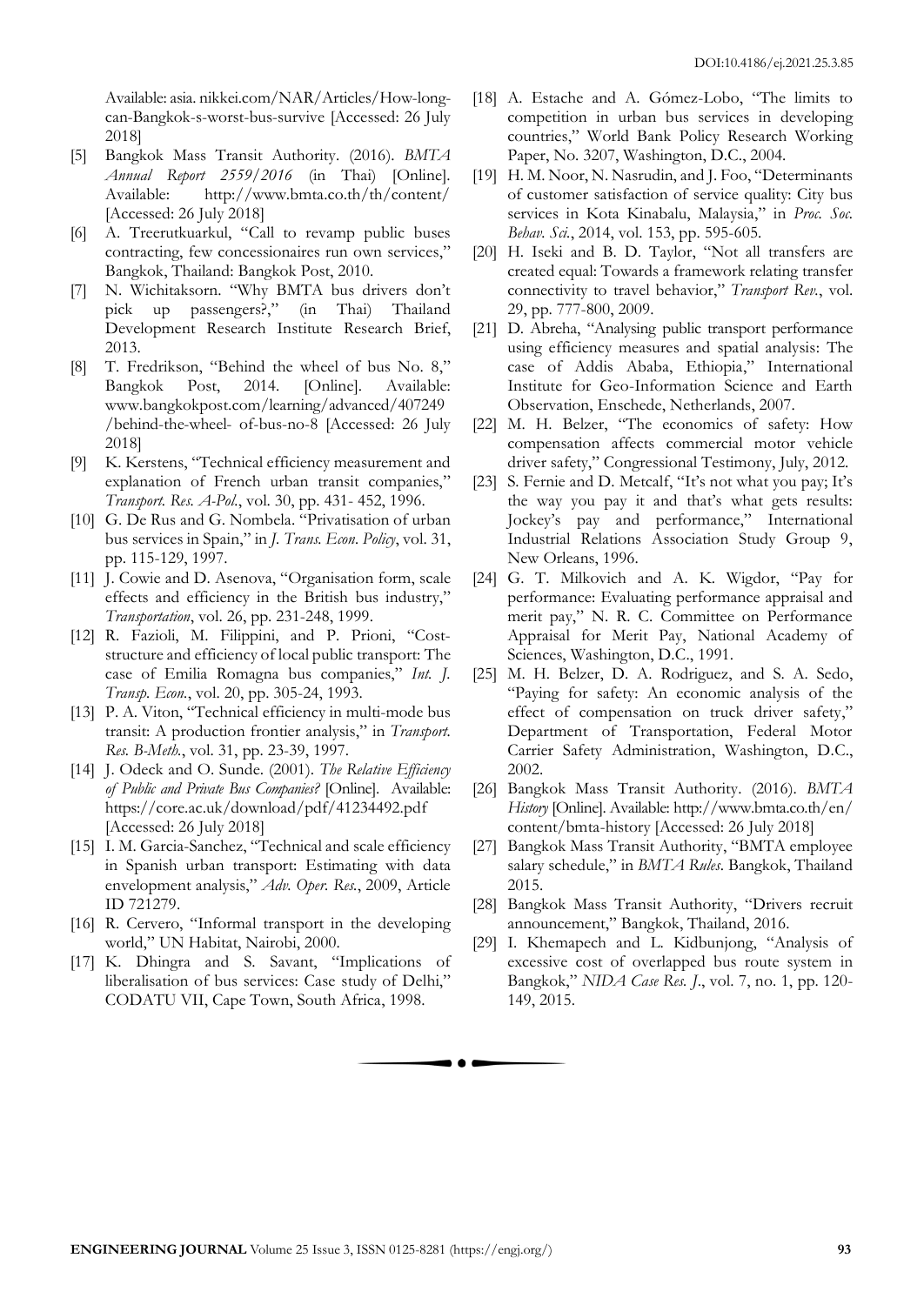Available: asia. nikkei.com/NAR/Articles/How-longcan-Bangkok-s-worst-bus-survive [Accessed: 26 July 2018]

- [5] Bangkok Mass Transit Authority. (2016). *BMTA Annual Report 2559/2016* (in Thai) [Online]. Available: http://www.bmta.co.th/th/content/ [Accessed: 26 July 2018]
- [6] A. Treerutkuarkul, "Call to revamp public buses contracting, few concessionaires run own services," Bangkok, Thailand: Bangkok Post, 2010.
- [7] N. Wichitaksorn. "Why BMTA bus drivers don't pick up passengers?," (in Thai) Thailand Development Research Institute Research Brief, 2013.
- [8] T. Fredrikson, "Behind the wheel of bus No. 8," Bangkok Post, 2014. [Online]. Available: www.bangkokpost.com/learning/advanced/407249 /behind-the-wheel- of-bus-no-8 [Accessed: 26 July 2018]
- [9] K. Kerstens, "Technical efficiency measurement and explanation of French urban transit companies," *Transport. Res. A-Pol.*, vol. 30, pp. 431- 452, 1996.
- [10] G. De Rus and G. Nombela. "Privatisation of urban bus services in Spain," in *J. Trans. Econ. Policy*, vol. 31, pp. 115-129, 1997.
- [11] J. Cowie and D. Asenova, "Organisation form, scale effects and efficiency in the British bus industry," *Transportation*, vol. 26, pp. 231-248, 1999.
- [12] R. Fazioli, M. Filippini, and P. Prioni, "Coststructure and efficiency of local public transport: The case of Emilia Romagna bus companies," *Int. J. Transp. Econ.*, vol. 20, pp. 305-24, 1993.
- [13] P. A. Viton, "Technical efficiency in multi-mode bus transit: A production frontier analysis," in *Transport. Res. B-Meth.*, vol. 31, pp. 23-39, 1997.
- [14] J. Odeck and O. Sunde. (2001). *The Relative Efficiency of Public and Private Bus Companies?* [Online]. Available: https://core.ac.uk/download/pdf/41234492.pdf [Accessed: 26 July 2018]
- [15] I. M. Garcia-Sanchez, "Technical and scale efficiency in Spanish urban transport: Estimating with data envelopment analysis," *Adv. Oper. Res.*, 2009, Article ID 721279.
- [16] R. Cervero, "Informal transport in the developing world," UN Habitat, Nairobi, 2000.
- [17] K. Dhingra and S. Savant, "Implications of liberalisation of bus services: Case study of Delhi," CODATU VII, Cape Town, South Africa, 1998.
- [18] A. Estache and A. Gómez-Lobo, "The limits to competition in urban bus services in developing countries," World Bank Policy Research Working Paper, No. 3207, Washington, D.C., 2004.
- [19] H. M. Noor, N. Nasrudin, and J. Foo, "Determinants of customer satisfaction of service quality: City bus services in Kota Kinabalu, Malaysia," in *Proc. Soc. Behav. Sci.*, 2014, vol. 153, pp. 595-605.
- [20] H. Iseki and B. D. Taylor, "Not all transfers are created equal: Towards a framework relating transfer connectivity to travel behavior," *Transport Rev.*, vol. 29, pp. 777-800, 2009.
- [21] D. Abreha, "Analysing public transport performance using efficiency measures and spatial analysis: The case of Addis Ababa, Ethiopia," International Institute for Geo-Information Science and Earth Observation, Enschede, Netherlands, 2007.
- [22] M. H. Belzer, "The economics of safety: How compensation affects commercial motor vehicle driver safety," Congressional Testimony, July, 2012.
- [23] S. Fernie and D. Metcalf, "It's not what you pay; It's the way you pay it and that's what gets results: Jockey's pay and performance," International Industrial Relations Association Study Group 9, New Orleans, 1996.
- [24] G. T. Milkovich and A. K. Wigdor, "Pay for performance: Evaluating performance appraisal and merit pay," N. R. C. Committee on Performance Appraisal for Merit Pay, National Academy of Sciences, Washington, D.C., 1991.
- [25] M. H. Belzer, D. A. Rodriguez, and S. A. Sedo, "Paying for safety: An economic analysis of the effect of compensation on truck driver safety," Department of Transportation, Federal Motor Carrier Safety Administration, Washington, D.C., 2002.
- [26] Bangkok Mass Transit Authority. (2016). *BMTA History* [Online]. Available: http://www.bmta.co.th/en/ content/bmta-history [Accessed: 26 July 2018]
- [27] Bangkok Mass Transit Authority, "BMTA employee salary schedule," in *BMTA Rules*. Bangkok, Thailand 2015.
- [28] Bangkok Mass Transit Authority, "Drivers recruit announcement," Bangkok, Thailand, 2016.
- [29] I. Khemapech and L. Kidbunjong, "Analysis of excessive cost of overlapped bus route system in Bangkok," *NIDA Case Res. J*., vol. 7, no. 1, pp. 120- 149, 2015.

 $\bullet$